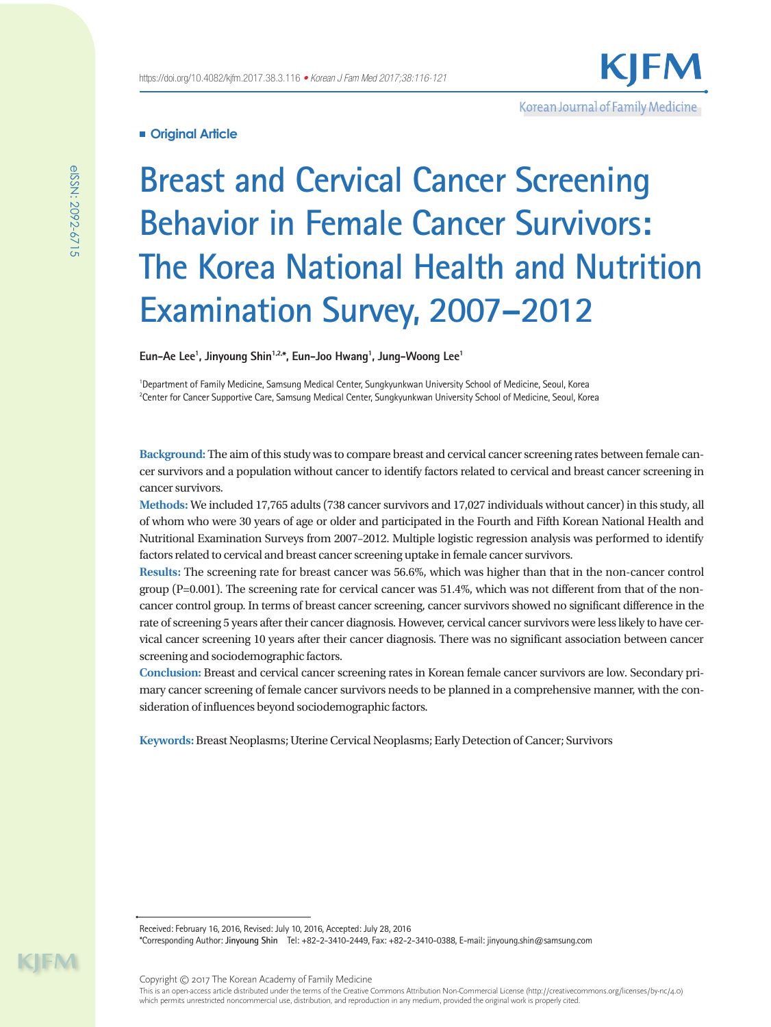# **Original Article**

# **Breast and Cervical Cancer Screening Behavior in Female Cancer Survivors: The Korea National Health and Nutrition Examination Survey, 2007–2012**

Korean Journal of Family Medicine

Eun-Ae Lee<sup>1</sup>, Jinyoung Shin<sup>1,2,\*</sup>, Eun-Joo Hwang<sup>1</sup>, Jung-Woong Lee<sup>1</sup>

1 Department of Family Medicine, Samsung Medical Center, Sungkyunkwan University School of Medicine, Seoul, Korea 2 Center for Cancer Supportive Care, Samsung Medical Center, Sungkyunkwan University School of Medicine, Seoul, Korea

**Background:** The aim of this study was to compare breast and cervical cancer screening rates between female cancer survivors and a population without cancer to identify factors related to cervical and breast cancer screening in cancer survivors.

**Methods:** We included 17,765 adults (738 cancer survivors and 17,027 individuals without cancer) in this study, all of whom who were 30 years of age or older and participated in the Fourth and Fifth Korean National Health and Nutritional Examination Surveys from 2007–2012. Multiple logistic regression analysis was performed to identify factors related to cervical and breast cancer screening uptake in female cancer survivors.

**Results:** The screening rate for breast cancer was 56.6%, which was higher than that in the non-cancer control group (P=0.001). The screening rate for cervical cancer was 51.4%, which was not different from that of the noncancer control group. In terms of breast cancer screening, cancer survivors showed no significant difference in the rate of screening 5 years after their cancer diagnosis. However, cervical cancer survivors were less likely to have cervical cancer screening 10 years after their cancer diagnosis. There was no significant association between cancer screening and sociodemographic factors.

**Conclusion:** Breast and cervical cancer screening rates in Korean female cancer survivors are low. Secondary primary cancer screening of female cancer survivors needs to be planned in a comprehensive manner, with the consideration of influences beyond sociodemographic factors.

**Keywords:** Breast Neoplasms; Uterine Cervical Neoplasms; Early Detection of Cancer; Survivors

\*Corresponding Author: **Jinyoung Shin** Tel: +82-2-3410-2449, Fax: +82-2-3410-0388, E-mail: jinyoung.shin@samsung.com

 $\mathsf{H}\mathsf{M}$ 

Received: February 16, 2016, Revised: July 10, 2016, Accepted: July 28, 2016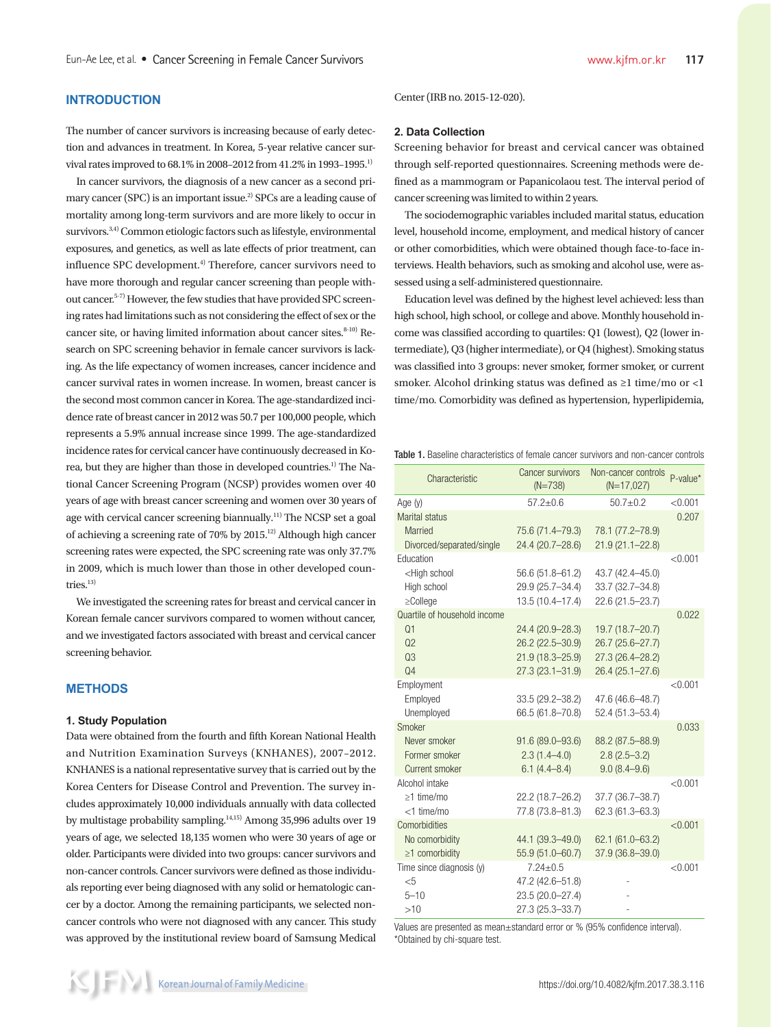# **Introduction**

The number of cancer survivors is increasing because of early detection and advances in treatment. In Korea, 5-year relative cancer survival rates improved to 68.1% in 2008–2012 from 41.2% in 1993–1995.1)

In cancer survivors, the diagnosis of a new cancer as a second primary cancer (SPC) is an important issue.<sup>2)</sup> SPCs are a leading cause of mortality among long-term survivors and are more likely to occur in survivors.3,4) Common etiologic factors such as lifestyle, environmental exposures, and genetics, as well as late effects of prior treatment, can influence SPC development.<sup>4)</sup> Therefore, cancer survivors need to have more thorough and regular cancer screening than people without cancer.5-7) However, the few studies that have provided SPC screening rates had limitations such as not considering the effect of sex or the cancer site, or having limited information about cancer sites.<sup>8-10)</sup> Research on SPC screening behavior in female cancer survivors is lacking. As the life expectancy of women increases, cancer incidence and cancer survival rates in women increase. In women, breast cancer is the second most common cancer in Korea. The age-standardized incidence rate of breast cancer in 2012 was 50.7 per 100,000 people, which represents a 5.9% annual increase since 1999. The age-standardized incidence rates for cervical cancer have continuously decreased in Korea, but they are higher than those in developed countries.<sup>1)</sup> The National Cancer Screening Program (NCSP) provides women over 40 years of age with breast cancer screening and women over 30 years of age with cervical cancer screening biannually.<sup>11)</sup> The NCSP set a goal of achieving a screening rate of 70% by 2015.12) Although high cancer screening rates were expected, the SPC screening rate was only 37.7% in 2009, which is much lower than those in other developed countries.<sup>13)</sup>

We investigated the screening rates for breast and cervical cancer in Korean female cancer survivors compared to women without cancer, and we investigated factors associated with breast and cervical cancer screening behavior.

### **Methods**

### **1. Study Population**

Data were obtained from the fourth and fifth Korean National Health and Nutrition Examination Surveys (KNHANES), 2007–2012. KNHANES is a national representative survey that is carried out by the Korea Centers for Disease Control and Prevention. The survey includes approximately 10,000 individuals annually with data collected by multistage probability sampling.14,15) Among 35,996 adults over 19 years of age, we selected 18,135 women who were 30 years of age or older. Participants were divided into two groups: cancer survivors and non-cancer controls. Cancer survivors were defined as those individuals reporting ever being diagnosed with any solid or hematologic cancer by a doctor. Among the remaining participants, we selected noncancer controls who were not diagnosed with any cancer. This study was approved by the institutional review board of Samsung Medical Center (IRB no. 2015-12-020).

### **2. Data Collection**

Screening behavior for breast and cervical cancer was obtained through self-reported questionnaires. Screening methods were defined as a mammogram or Papanicolaou test. The interval period of cancer screening was limited to within 2 years.

The sociodemographic variables included marital status, education level, household income, employment, and medical history of cancer or other comorbidities, which were obtained though face-to-face interviews. Health behaviors, such as smoking and alcohol use, were assessed using a self-administered questionnaire.

Education level was defined by the highest level achieved: less than high school, high school, or college and above. Monthly household income was classified according to quartiles: Q1 (lowest), Q2 (lower intermediate), Q3 (higher intermediate), or Q4 (highest). Smoking status was classified into 3 groups: never smoker, former smoker, or current smoker. Alcohol drinking status was defined as ≥1 time/mo or <1 time/mo. Comorbidity was defined as hypertension, hyperlipidemia,

Table 1. Baseline characteristics of female cancer survivors and non-cancer controls

| Characteristic                                                                            | <b>Cancer survivors</b><br>$(N=738)$ | Non-cancer controls<br>$(N=17,027)$ | P-value* |
|-------------------------------------------------------------------------------------------|--------------------------------------|-------------------------------------|----------|
| Age $(y)$                                                                                 | $57.2 + 0.6$                         | $50.7 + 0.2$                        | < 0.001  |
| Marital status                                                                            |                                      |                                     | 0.207    |
| Married                                                                                   | 75.6 (71.4-79.3)                     | 78.1 (77.2-78.9)                    |          |
| Divorced/separated/single                                                                 | 24.4 (20.7-28.6)                     | 21.9 (21.1-22.8)                    |          |
| Education                                                                                 |                                      |                                     | < 0.001  |
| <high school<="" td=""><td>56.6 (51.8-61.2)</td><td>43.7 (42.4-45.0)</td><td></td></high> | 56.6 (51.8-61.2)                     | 43.7 (42.4-45.0)                    |          |
| High school                                                                               | 29.9 (25.7-34.4)                     | 33.7 (32.7-34.8)                    |          |
| $\geq$ College                                                                            | 13.5 (10.4-17.4)                     | 22.6 (21.5-23.7)                    |          |
| Quartile of household income                                                              |                                      |                                     | 0.022    |
| Q1                                                                                        | 24.4 (20.9-28.3)                     | 19.7 (18.7-20.7)                    |          |
| Q2                                                                                        | 26.2 (22.5-30.9)                     | 26.7 (25.6-27.7)                    |          |
| Q3                                                                                        | 21.9 (18.3-25.9)                     | 27.3 (26.4-28.2)                    |          |
| Q <sub>4</sub>                                                                            | $27.3(23.1 - 31.9)$                  | $26.4(25.1 - 27.6)$                 |          |
| Employment                                                                                |                                      |                                     | < 0.001  |
| Employed                                                                                  | 33.5 (29.2-38.2)                     | 47.6 (46.6-48.7)                    |          |
| Unemployed<br>Smoker                                                                      | 66.5 (61.8-70.8)                     | 52.4 (51.3-53.4)                    |          |
| Never smoker                                                                              | 91.6 (89.0-93.6)                     | 88.2 (87.5-88.9)                    | 0.033    |
| Former smoker                                                                             | $2.3(1.4 - 4.0)$                     | $2.8(2.5 - 3.2)$                    |          |
| Current smoker                                                                            | $6.1(4.4 - 8.4)$                     | $9.0(8.4 - 9.6)$                    |          |
| Alcohol intake                                                                            |                                      |                                     | < 0.001  |
| $\geq$ 1 time/mo                                                                          | 22.2 (18.7-26.2)                     | 37.7 (36.7-38.7)                    |          |
| $<$ 1 time/mo                                                                             | 77.8 (73.8-81.3)                     | 62.3 (61.3-63.3)                    |          |
| Comorbidities                                                                             |                                      |                                     | < 0.001  |
| No comorbidity                                                                            | 44.1 (39.3-49.0)                     | 62.1 (61.0-63.2)                    |          |
| $\geq$ 1 comorbidity                                                                      | 55.9 (51.0-60.7)                     | 37.9 (36.8-39.0)                    |          |
| Time since diagnosis (y)                                                                  | $7.24 \pm 0.5$                       |                                     | < 0.001  |
| $<$ 5                                                                                     | 47.2 (42.6-51.8)                     |                                     |          |
| $5 - 10$                                                                                  | 23.5 (20.0-27.4)                     |                                     |          |
| >10                                                                                       | 27.3 (25.3-33.7)                     |                                     |          |

Values are presented as mean±standard error or % (95% confidence interval). \*Obtained by chi-square test.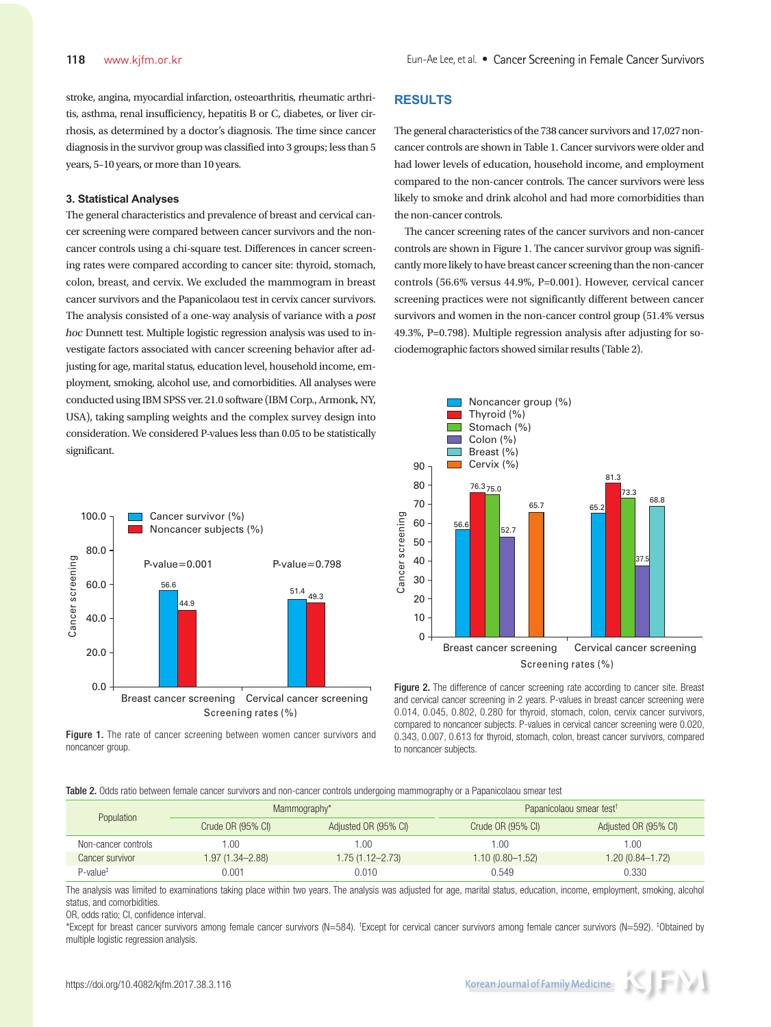stroke, angina, myocardial infarction, osteoarthritis, rheumatic arthritis, asthma, renal insufficiency, hepatitis B or C, diabetes, or liver cirrhosis, as determined by a doctor's diagnosis. The time since cancer diagnosis in the survivor group was classified into 3 groups; less than 5 years, 5–10 years, or more than 10 years.

### **3. Statistical Analyses**

The general characteristics and prevalence of breast and cervical cancer screening were compared between cancer survivors and the noncancer controls using a chi-square test. Differences in cancer screening rates were compared according to cancer site: thyroid, stomach, colon, breast, and cervix. We excluded the mammogram in breast cancer survivors and the Papanicolaou test in cervix cancer survivors. The analysis consisted of a one-way analysis of variance with a post hoc Dunnett test. Multiple logistic regression analysis was used to investigate factors associated with cancer screening behavior after adjusting for age, marital status, education level, household income, employment, smoking, alcohol use, and comorbidities. All analyses were conducted using IBM SPSS ver. 21.0 software (IBM Corp., Armonk, NY, USA), taking sampling weights and the complex survey design into consideration. We considered P-values less than 0.05 to be statistically significant.



Figure 1. The rate of cancer screening between women cancer survivors and noncancer group.

## **Results**

The general characteristics of the 738 cancer survivors and 17,027 noncancer controls are shown in Table 1. Cancer survivors were older and had lower levels of education, household income, and employment compared to the non-cancer controls. The cancer survivors were less likely to smoke and drink alcohol and had more comorbidities than the non-cancer controls.

The cancer screening rates of the cancer survivors and non-cancer controls are shown in Figure 1. The cancer survivor group was significantly more likely to have breast cancer screening than the non-cancer controls (56.6% versus 44.9%, P=0.001). However, cervical cancer screening practices were not significantly different between cancer survivors and women in the non-cancer control group (51.4% versus 49.3%, P=0.798). Multiple regression analysis after adjusting for sociodemographic factors showed similar results (Table 2).



Figure 2. The difference of cancer screening rate according to cancer site. Breast and cervical cancer screening in 2 years. P-values in breast cancer screening were 0.014, 0.045, 0.802, 0.280 for thyroid, stomach, colon, cervix cancer survivors, compared to noncancer subjects. P-values in cervical cancer screening were 0.020, 0.343, 0.007, 0.613 for thyroid, stomach, colon, breast cancer survivors, compared to noncancer subjects.

Table 2. Odds ratio between female cancer survivors and non-cancer controls undergoing mammography or a Papanicolaou smear test

| Population          | Mammography*                 |                      | Papanicolaou smear test <sup>†</sup> |                      |
|---------------------|------------------------------|----------------------|--------------------------------------|----------------------|
|                     | Crude OR $(95\% \text{ Cl})$ | Adjusted OR (95% CI) | Crude OR (95% CI)                    | Adjusted OR (95% CI) |
| Non-cancer controls | .00                          | 0.00                 | 00.1                                 | 1.00                 |
| Cancer survivor     | 1.97 (1.34-2.88)             | $1.75(1.12 - 2.73)$  | $1.10(0.80 - 1.52)$                  | 1.20 (0.84-1.72)     |
| $P-value^+$         | 0.001                        | 0.010                | 0.549                                | 0.330                |

The analysis was limited to examinations taking place within two years. The analysis was adjusted for age, marital status, education, income, employment, smoking, alcohol status, and comorbidities.

OR, odds ratio; CI, confidence interval.

\*Except for breast cancer survivors among female cancer survivors (N=584). † Except for cervical cancer survivors among female cancer survivors (N=592). ‡ Obtained by multiple logistic regression analysis.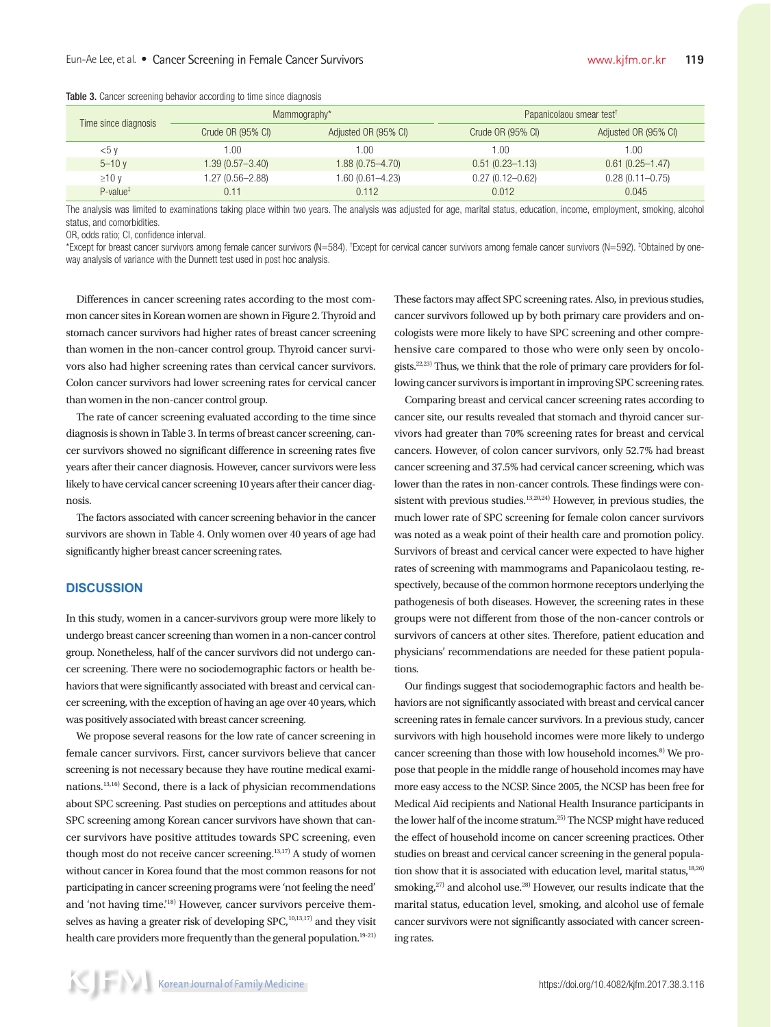| Time since diagnosis | Mammography*      |                      | Papanicolaou smear test <sup>†</sup> |                      |
|----------------------|-------------------|----------------------|--------------------------------------|----------------------|
|                      | Crude OR (95% CI) | Adjusted OR (95% CI) | Crude OR (95% CI)                    | Adjusted OR (95% CI) |
| $<$ 5 $\vee$         | .00.              | .00                  | 1.00.                                | 1.00                 |
| $5 - 10y$            | 1.39 (0.57—3.40)  | 1.88 (0.75–4.70)     | $0.51(0.23 - 1.13)$                  | $0.61(0.25 - 1.47)$  |
| $\geq$ 10 v          | 1.27 (0.56-2.88)  | 1.60 (0.61-4.23)     | $0.27(0.12 - 0.62)$                  | $0.28(0.11 - 0.75)$  |
| $P-value^+$          | 0.11              | 0.112                | 0.012                                | 0.045                |

Table 3. Cancer screening behavior according to time since diagnosis

The analysis was limited to examinations taking place within two years. The analysis was adjusted for age, marital status, education, income, employment, smoking, alcohol status, and comorbidities.

OR, odds ratio; CI, confidence interval.

\*Except for breast cancer survivors among female cancer survivors (N=584). † Except for cervical cancer survivors among female cancer survivors (N=592). ‡ Obtained by oneway analysis of variance with the Dunnett test used in post hoc analysis.

Differences in cancer screening rates according to the most common cancer sites in Korean women are shown in Figure 2. Thyroid and stomach cancer survivors had higher rates of breast cancer screening than women in the non-cancer control group. Thyroid cancer survivors also had higher screening rates than cervical cancer survivors. Colon cancer survivors had lower screening rates for cervical cancer than women in the non-cancer control group.

The rate of cancer screening evaluated according to the time since diagnosis is shown in Table 3. In terms of breast cancer screening, cancer survivors showed no significant difference in screening rates five years after their cancer diagnosis. However, cancer survivors were less likely to have cervical cancer screening 10 years after their cancer diagnosis.

The factors associated with cancer screening behavior in the cancer survivors are shown in Table 4. Only women over 40 years of age had significantly higher breast cancer screening rates.

### **Discussion**

In this study, women in a cancer-survivors group were more likely to undergo breast cancer screening than women in a non-cancer control group. Nonetheless, half of the cancer survivors did not undergo cancer screening. There were no sociodemographic factors or health behaviors that were significantly associated with breast and cervical cancer screening, with the exception of having an age over 40 years, which was positively associated with breast cancer screening.

We propose several reasons for the low rate of cancer screening in female cancer survivors. First, cancer survivors believe that cancer screening is not necessary because they have routine medical examinations.13,16) Second, there is a lack of physician recommendations about SPC screening. Past studies on perceptions and attitudes about SPC screening among Korean cancer survivors have shown that cancer survivors have positive attitudes towards SPC screening, even though most do not receive cancer screening. $13,17$ ) A study of women without cancer in Korea found that the most common reasons for not participating in cancer screening programs were 'not feeling the need' and 'not having time.'<sup>18)</sup> However, cancer survivors perceive themselves as having a greater risk of developing  $SPC$ ,  $^{10,13,17)}$  and they visit health care providers more frequently than the general population.<sup>19-21)</sup> These factors may affect SPC screening rates. Also, in previous studies, cancer survivors followed up by both primary care providers and oncologists were more likely to have SPC screening and other comprehensive care compared to those who were only seen by oncologists.22,23) Thus, we think that the role of primary care providers for following cancer survivors is important in improving SPC screening rates.

Comparing breast and cervical cancer screening rates according to cancer site, our results revealed that stomach and thyroid cancer survivors had greater than 70% screening rates for breast and cervical cancers. However, of colon cancer survivors, only 52.7% had breast cancer screening and 37.5% had cervical cancer screening, which was lower than the rates in non-cancer controls. These findings were consistent with previous studies. $13,20,24)$  However, in previous studies, the much lower rate of SPC screening for female colon cancer survivors was noted as a weak point of their health care and promotion policy. Survivors of breast and cervical cancer were expected to have higher rates of screening with mammograms and Papanicolaou testing, respectively, because of the common hormone receptors underlying the pathogenesis of both diseases. However, the screening rates in these groups were not different from those of the non-cancer controls or survivors of cancers at other sites. Therefore, patient education and physicians' recommendations are needed for these patient populations.

Our findings suggest that sociodemographic factors and health behaviors are not significantly associated with breast and cervical cancer screening rates in female cancer survivors. In a previous study, cancer survivors with high household incomes were more likely to undergo cancer screening than those with low household incomes. $8$ <sup>0</sup> We propose that people in the middle range of household incomes may have more easy access to the NCSP. Since 2005, the NCSP has been free for Medical Aid recipients and National Health Insurance participants in the lower half of the income stratum.<sup>25)</sup> The NCSP might have reduced the effect of household income on cancer screening practices. Other studies on breast and cervical cancer screening in the general population show that it is associated with education level, marital status,  $18,26$ ) smoking, $27$ ) and alcohol use. $28$ ) However, our results indicate that the marital status, education level, smoking, and alcohol use of female cancer survivors were not significantly associated with cancer screening rates.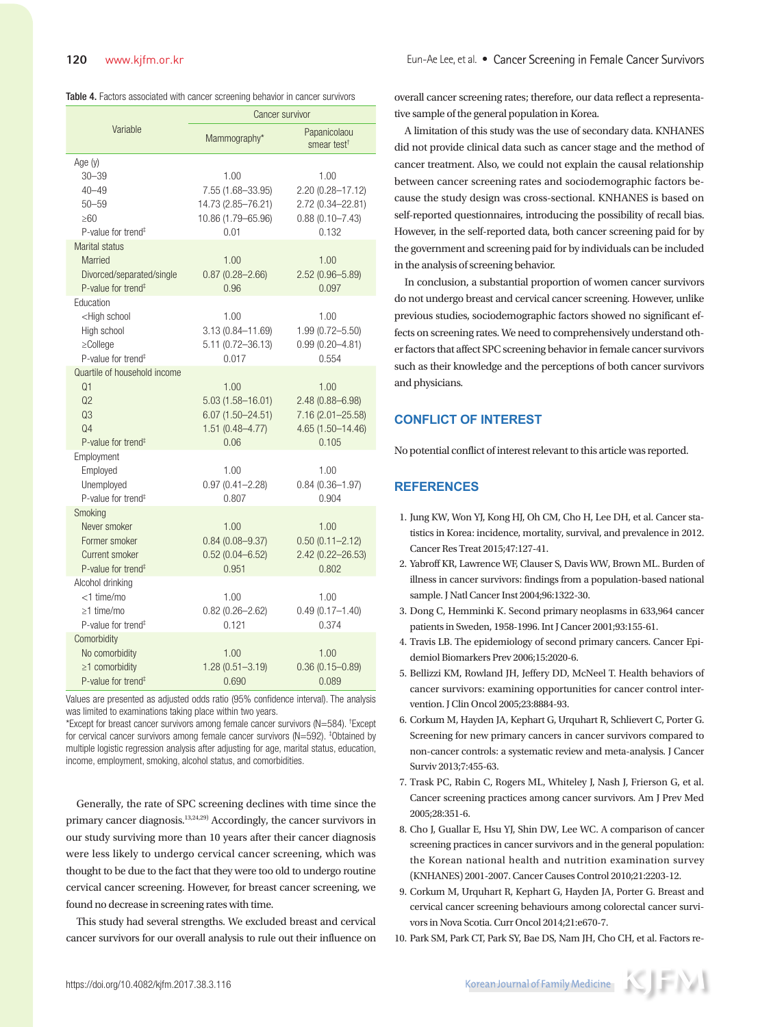| Table 4. Factors associated with cancer screening behavior in cancer survivors |  |
|--------------------------------------------------------------------------------|--|
|--------------------------------------------------------------------------------|--|

|                                                                                                                            | <b>Cancer survivor</b>                                                              |                                                                                   |  |
|----------------------------------------------------------------------------------------------------------------------------|-------------------------------------------------------------------------------------|-----------------------------------------------------------------------------------|--|
| Variable                                                                                                                   | Mammography*                                                                        | Papanicolaou<br>smear test <sup>t</sup>                                           |  |
| Age (y)<br>$30 - 39$<br>$40 - 49$<br>$50 - 59$<br>$\geq 60$<br>P-value for trend <sup>#</sup>                              | 1.00<br>7.55 (1.68-33.95)<br>14.73 (2.85-76.21)<br>10.86 (1.79-65.96)<br>0.01       | 1.00<br>2.20 (0.28-17.12)<br>2.72 (0.34-22.81)<br>$0.88(0.10 - 7.43)$<br>0.132    |  |
| Marital status<br>Married<br>Divorced/separated/single<br>P-value for trend <sup>#</sup>                                   | 1.00<br>$0.87(0.28 - 2.66)$<br>0.96                                                 | 1.00<br>2.52 (0.96-5.89)<br>0.097                                                 |  |
| Education<br><high school<br="">High school<br/><math>\geq</math>College<br/>P-value for trend<sup>#</sup></high>          | 1.00<br>3.13 (0.84-11.69)<br>$5.11(0.72 - 36.13)$<br>0.017                          | 1.00<br>$1.99(0.72 - 5.50)$<br>$0.99(0.20 - 4.81)$<br>0.554                       |  |
| Quartile of household income<br>Q <sub>1</sub><br>Q <sub>2</sub><br>Q3<br>Q <sub>4</sub><br>P-value for trend <sup>#</sup> | 1.00<br>$5.03(1.58 - 16.01)$<br>$6.07(1.50 - 24.51)$<br>$1.51(0.48 - 4.77)$<br>0.06 | 1.00<br>$2.48(0.88 - 6.98)$<br>7.16 (2.01-25.58)<br>$4.65(1.50 - 14.46)$<br>0.105 |  |
| Employment<br>Employed<br>Unemployed<br>P-value for trend <sup>#</sup>                                                     | 1.00<br>$0.97(0.41 - 2.28)$<br>0.807                                                | 1.00<br>$0.84(0.36 - 1.97)$<br>0.904                                              |  |
| Smoking<br>Never smoker<br>Former smoker<br>Current smoker<br>P-value for trend <sup>#</sup>                               | 1.00<br>$0.84(0.08 - 9.37)$<br>$0.52(0.04 - 6.52)$<br>0.951                         | 1.00<br>$0.50(0.11 - 2.12)$<br>2.42 (0.22-26.53)<br>0.802                         |  |
| Alcohol drinking<br>$<$ 1 time/mo<br>$\geq$ 1 time/mo<br>P-value for trend <sup>#</sup>                                    | 1.00<br>$0.82(0.26 - 2.62)$<br>0.121                                                | 1.00<br>$0.49(0.17 - 1.40)$<br>0.374                                              |  |
| Comorbidity<br>No comorbidity<br>$\geq$ 1 comorbidity<br>P-value for trend <sup>#</sup>                                    | 1.00<br>$1.28(0.51 - 3.19)$<br>0.690                                                | 1.00<br>$0.36(0.15 - 0.89)$<br>0.089                                              |  |

Values are presented as adjusted odds ratio (95% confidence interval). The analysis was limited to examinations taking place within two years.

\*Except for breast cancer survivors among female cancer survivors (N=584). † Except for cervical cancer survivors among female cancer survivors (N=592). ‡ Obtained by multiple logistic regression analysis after adjusting for age, marital status, education, income, employment, smoking, alcohol status, and comorbidities.

Generally, the rate of SPC screening declines with time since the primary cancer diagnosis.13,24,29) Accordingly, the cancer survivors in our study surviving more than 10 years after their cancer diagnosis were less likely to undergo cervical cancer screening, which was thought to be due to the fact that they were too old to undergo routine cervical cancer screening. However, for breast cancer screening, we found no decrease in screening rates with time.

This study had several strengths. We excluded breast and cervical cancer survivors for our overall analysis to rule out their influence on overall cancer screening rates; therefore, our data reflect a representative sample of the general population in Korea.

A limitation of this study was the use of secondary data. KNHANES did not provide clinical data such as cancer stage and the method of cancer treatment. Also, we could not explain the causal relationship between cancer screening rates and sociodemographic factors because the study design was cross-sectional. KNHANES is based on self-reported questionnaires, introducing the possibility of recall bias. However, in the self-reported data, both cancer screening paid for by the government and screening paid for by individuals can be included in the analysis of screening behavior.

In conclusion, a substantial proportion of women cancer survivors do not undergo breast and cervical cancer screening. However, unlike previous studies, sociodemographic factors showed no significant effects on screening rates. We need to comprehensively understand other factors that affect SPC screening behavior in female cancer survivors such as their knowledge and the perceptions of both cancer survivors and physicians.

# **CONFLICT OF INTEREST**

No potential conflict of interest relevant to this article was reported.

## **References**

- 1. Jung KW, Won YJ, Kong HJ, Oh CM, Cho H, Lee DH, et al. Cancer statistics in Korea: incidence, mortality, survival, and prevalence in 2012. Cancer Res Treat 2015;47:127-41.
- 2. Yabroff KR, Lawrence WF, Clauser S, Davis WW, Brown ML. Burden of illness in cancer survivors: findings from a population-based national sample. J Natl Cancer Inst 2004;96:1322-30.
- 3. Dong C, Hemminki K. Second primary neoplasms in 633,964 cancer patients in Sweden, 1958-1996. Int J Cancer 2001;93:155-61.
- 4. Travis LB. The epidemiology of second primary cancers. Cancer Epidemiol Biomarkers Prev 2006;15:2020-6.
- 5. Bellizzi KM, Rowland JH, Jeffery DD, McNeel T. Health behaviors of cancer survivors: examining opportunities for cancer control intervention. J Clin Oncol 2005;23:8884-93.
- 6. Corkum M, Hayden JA, Kephart G, Urquhart R, Schlievert C, Porter G. Screening for new primary cancers in cancer survivors compared to non-cancer controls: a systematic review and meta-analysis. J Cancer Surviv 2013;7:455-63.
- 7. Trask PC, Rabin C, Rogers ML, Whiteley J, Nash J, Frierson G, et al. Cancer screening practices among cancer survivors. Am J Prev Med 2005;28:351-6.
- 8. Cho J, Guallar E, Hsu YJ, Shin DW, Lee WC. A comparison of cancer screening practices in cancer survivors and in the general population: the Korean national health and nutrition examination survey (KNHANES) 2001-2007. Cancer Causes Control 2010;21:2203-12.
- 9. Corkum M, Urquhart R, Kephart G, Hayden JA, Porter G. Breast and cervical cancer screening behaviours among colorectal cancer survivors in Nova Scotia. Curr Oncol 2014;21:e670-7.
- 10. Park SM, Park CT, Park SY, Bae DS, Nam JH, Cho CH, et al. Factors re-